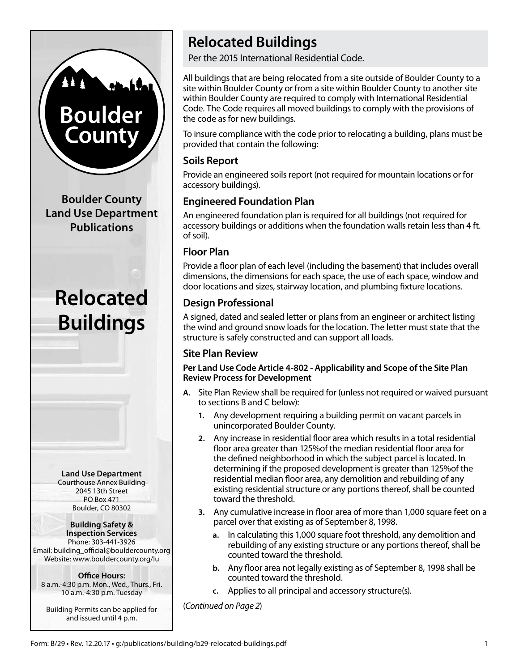# **Boulder** County

**Boulder County Land Use Department Publications**

# **Relocated Buildings**

**Land Use Department** Courthouse Annex Building 2045 13th Street PO Box 471 Boulder, CO 80302

#### **Building Safety &**

**Inspection Services** Phone: 303-441-3926 Email: building\_official@bouldercounty.org Website: www.bouldercounty.org/lu

**Office Hours:** 8 a.m.-4:30 p.m. Mon., Wed., Thurs., Fri. 10 a.m.-4:30 p.m. Tuesday

Building Permits can be applied for and issued until 4 p.m.

# **Relocated Buildings**

Per the 2015 International Residential Code.

All buildings that are being relocated from a site outside of Boulder County to a site within Boulder County or from a site within Boulder County to another site within Boulder County are required to comply with International Residential Code. The Code requires all moved buildings to comply with the provisions of the code as for new buildings.

To insure compliance with the code prior to relocating a building, plans must be provided that contain the following:

### **Soils Report**

Provide an engineered soils report (not required for mountain locations or for accessory buildings).

# **Engineered Foundation Plan**

An engineered foundation plan is required for all buildings (not required for accessory buildings or additions when the foundation walls retain less than 4 ft. of soil).

#### **Floor Plan**

Provide a floor plan of each level (including the basement) that includes overall dimensions, the dimensions for each space, the use of each space, window and door locations and sizes, stairway location, and plumbing fixture locations.

# **Design Professional**

A signed, dated and sealed letter or plans from an engineer or architect listing the wind and ground snow loads for the location. The letter must state that the structure is safely constructed and can support all loads.

### **Site Plan Review**

#### **Per Land Use Code Article 4-802 - Applicability and Scope of the Site Plan Review Process for Development**

- **A.** Site Plan Review shall be required for (unless not required or waived pursuant to sections B and C below):
	- **1.** Any development requiring a building permit on vacant parcels in unincorporated Boulder County.
	- **2.** Any increase in residential floor area which results in a total residential floor area greater than 125%of the median residential floor area for the defined neighborhood in which the subject parcel is located. In determining if the proposed development is greater than 125%of the residential median floor area, any demolition and rebuilding of any existing residential structure or any portions thereof, shall be counted toward the threshold.
	- **3.** Any cumulative increase in floor area of more than 1,000 square feet on a parcel over that existing as of September 8, 1998.
		- **a.** In calculating this 1,000 square foot threshold, any demolition and rebuilding of any existing structure or any portions thereof, shall be counted toward the threshold.
		- **b.** Any floor area not legally existing as of September 8, 1998 shall be counted toward the threshold.
		- **c.** Applies to all principal and accessory structure(s).

(*Continued on Page 2*)